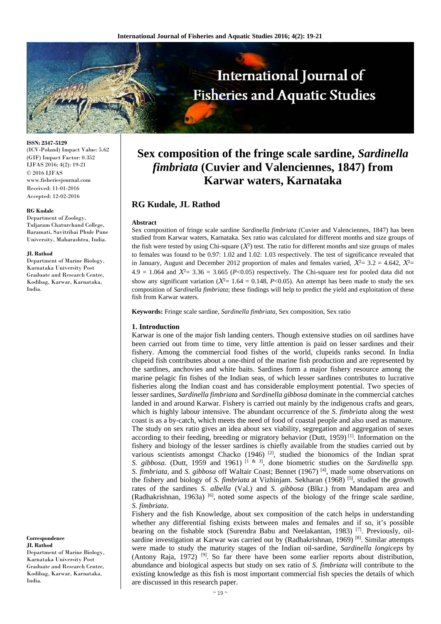

**ISSN: 2347-5129**  (ICV-Poland) Impact Value: 5.62 (GIF) Impact Factor: 0.352 IJFAS 2016; 4(2): 19-21 © 2016 IJFAS www.fisheriesjournal.com Received: 11-01-2016 Accepted: 12-02-2016

#### **RG Kudale**

Department of Zoology, Tuljaram Chaturchand College, Baramati, Savitribai Phule Pune University, Maharashtra, India.

#### **JL Rathod**

Department of Marine Biology, Karnataka University Post Graduate and Research Centre, Kodibag, Karwar, Karnataka, India.

**Correspondence JL Rathod** Department of Marine Biology, Karnataka University Post

Graduate and Research Centre, Kodibag, Karwar, Karnataka, India.

# **Sex composition of the fringe scale sardine,** *Sardinella fimbriata* **(Cuvier and Valenciennes, 1847) from Karwar waters, Karnataka**

# **RG Kudale, JL Rathod**

#### **Abstract**

Sex composition of fringe scale sardine *Sardinella fimbriata* (Cuvier and Valenciennes, 1847) has been studied from Karwar waters, Karnataka. Sex ratio was calculated for different months and size groups of the fish were tested by using Chi-square  $(X^2)$  test. The ratio for different months and size groups of males to females was found to be 0.97: 1.02 and 1.02: 1.03 respectively. The test of significance revealed that in January, August and December 2012 proportion of males and females varied,  $\mathcal{X}=3.2 = 4.642$ ,  $\mathcal{X}=$ 4.9 = 1.064 and  $\mathcal{X}^2$  = 3.36 = 3.665 (*P*<0.05) respectively. The Chi-square test for pooled data did not show any significant variation ( $\mathcal{X} = 1.64 = 0.148$ , *P*<0.05). An attempt has been made to study the sex composition of *Sardinella fimbriata*; these findings will help to predict the yield and exploitation of these fish from Karwar waters.

**Keywords:** Fringe scale sardine, *Sardinella fimbriata,* Sex composition, Sex ratio

#### **1. Introduction**

Karwar is one of the major fish landing centers. Though extensive studies on oil sardines have been carried out from time to time, very little attention is paid on lesser sardines and their fishery. Among the commercial food fishes of the world, clupeids ranks second. In India clupeid fish contributes about a one-third of the marine fish production and are represented by the sardines, anchovies and white baits. Sardines form a major fishery resource among the marine pelagic fin fishes of the Indian seas, of which lesser sardines contributes to lucrative fisheries along the Indian coast and has considerable employment potential. Two species of lesser sardines, *Sardinella fimbriata* and *Sardinella gibbosa* dominate in the commercial catches landed in and around Karwar. Fishery is carried out mainly by the indigenous crafts and gears, which is highly labour intensive. The abundant occurrence of the *S. fimbriata* along the west coast is as a by-catch, which meets the need of food of coastal people and also used as manure. The study on sex ratio gives an idea about sex viability, segregation and aggregation of sexes according to their feeding, breeding or migratory behavior (Dutt, 1959)<sup>[1]</sup>. Information on the fishery and biology of the lesser sardines is chiefly available from the studies carried out by various scientists amongst Chacko (1946)<sup>[2]</sup>, studied the bionomics of the Indian sprat *S. gibbosa.* (Dutt, 1959 and 1961) <sup>[1 & 3]</sup>, done biometric studies on the *Sardinella spp. S. fimbriata,* and *S. gibbosa* off Waltair Coast; Bennet (1967) [4], made some observations on the fishery and biology of *S. fimbriata* at Vizhinjam. Sekharan (1968) [5], studied the growth rates of the sardines *S. albella* (Val.) and *S. gibbosa* (Blkr.) from Mandapam area and (Radhakrishnan, 1963a) [6], noted some aspects of the biology of the fringe scale sardine, *S. fimbriata*.

Fishery and the fish Knowledge, about sex composition of the catch helps in understanding whether any differential fishing exists between males and females and if so, it's possible bearing on the fishable stock (Surendra Babu and Neelakantan, 1983) [7]. Previously, oilsardine investigation at Karwar was carried out by (Radhakrishnan, 1969) [8]. Similar attempts were made to study the maturity stages of the Indian oil-sardine, *Sardinella longiceps* by (Antony Raja, 1972) [9]. So far there have been some earlier reports about distribution, abundance and biological aspects but study on sex ratio of *S. fimbriata* will contribute to the existing knowledge as this fish is most important commercial fish species the details of which are discussed in this research paper.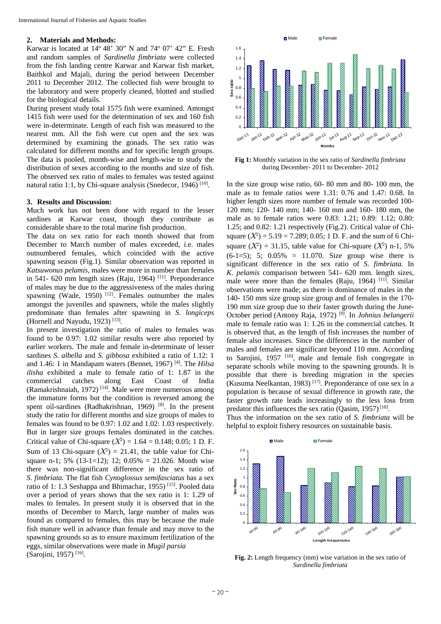# **2. Materials and Methods:**

Karwar is located at  $14^{\circ}$  48' 30" N and  $74^{\circ}$  07' 42" E. Fresh and random samples of *Sardinella fimbriata* were collected from the fish landing centre Karwar and Karwar fish market, Baithkol and Majali, during the period between December 2011 to December 2012. The collected fish were brought to the laboratory and were properly cleaned, blotted and studied for the biological details.

During present study total 1575 fish were examined. Amongst 1415 fish were used for the determination of sex and 160 fish were in-determinate. Length of each fish was measured to the nearest mm. All the fish were cut open and the sex was determined by examining the gonads. The sex ratio was calculated for different months and for specific length groups. The data is pooled, month-wise and length-wise to study the distribution of sexes according to the months and size of fish. The observed sex ratio of males to females was tested against natural ratio 1:1, by Chi-square analysis (Snedecor, 1946)  $[10]$ .

## **3. Results and Discussion:**

Much work has not been done with regard to the lesser sardines at Karwar coast, though they contribute as considerable share to the total marine fish production.

The data on sex ratio for each month showed that from December to March number of males exceeded, i.e. males outnumbered females, which coincided with the active spawning season (Fig.1). Similar observation was reported in *Katsuwonus pelamis,* males were more in number than females in 541- 620 mm length sizes (Raju, 1964) [11]. Preponderance of males may be due to the aggressiveness of the males during spawning (Wade, 1950)  $[12]$ . Females outnumber the males amongst the juveniles and spawners, while the males slightly predominate than females after spawning in *S. longiceps* (Hornell and Nayudu, 1923) [13]*.*

In present investigation the ratio of males to females was found to be 0.97: 1.02 similar results were also reported by earlier workers. The male and female in-determinate of lesser sardines *S. albella* and *S. gibbosa* exhibited a ratio of 1.12: 1 and 1.46: 1 in Mandapam waters (Bennet, 1967) [4]. The *Hilsa ilisha* exhibited a male to female ratio of 1: 1.87 in the commercial catches along East Coast of India (Ramakrishnaiah, 1972)<sup>[14]</sup>. Male were more numerous among the immature forms but the condition is reversed among the spent oil-sardines (Radhakrishnan, 1969) [8]. In the present study the ratio for different months and size groups of males to females was found to be 0.97: 1.02 and 1.02: 1.03 respectively. But in larger size groups females dominated in the catches. Critical value of Chi-square  $({\cal X}^2) = 1.64 = 0.148; 0.05; 1 D. F.$ Sum of 13 Chi-square  $(X^2) = 21.41$ , the table value for Chisquare n-1; 5% (13-1=12); 12;  $0.05% = 21.026$ . Month wise there was non-significant difference in the sex ratio of *S. fimbriata.* The flat fish *Cynoglossus semifasciatus* has a sex ratio of 1: 1.3 Seshappa and Bhimachar, 1955) [15]. Pooled data over a period of years shows that the sex ratio is 1: 1.29 of males to females. In present study it is observed that in the months of December to March, large number of males was found as compared to females, this may be because the male fish mature well in advance than female and may move to the spawning grounds so as to ensure maximum fertilization of the eggs, similar observations were made in *Mugil parsia*  (Sarojini, 1957) [16].



**Fig 1:** Monthly variation in the sex ratio of *Sardinella fimbriata* during December- 2011 to December- 2012

In the size group wise ratio, 60- 80 mm and 80- 100 mm, the male as to female ratios were 1.31: 0.76 and 1.47: 0.68. In higher length sizes more number of female was recorded 100- 120 mm; 120- 140 mm; 140- 160 mm and 160- 180 mm, the male as to female ratios were 0.83: 1.21; 0.89: 1.12; 0.80: 1.25; and 0.82: 1.21 respectively (Fig.2). Critical value of Chisquare  $(X^2) = 5.19 = 7.289$ ; 0.05; 1 D. F. and the sum of 6 Chisquare  $(X^2) = 31.15$ , table value for Chi-square  $(X^2)$  n-1, 5%  $(6-1=5)$ ; 5; 0.05% = 11.070. Size group wise there is significant difference in the sex ratio of *S. fimbriata.* In *K. pelamis* comparison between 541- 620 mm. length sizes, male were more than the females (Raju, 1964) <sup>[11]</sup>. Similar observations were made; as there is dominance of males in the 140- 150 mm size group size group and of females in the 170- 190 mm size group due to their faster growth during the June-October period (Antony Raja, 1972) [9]. In *Johnius belangerii* male to female ratio was 1: 1.26 in the commercial catches. It is observed that, as the length of fish increases the number of female also increases. Since the differences in the number of males and females are significant beyond 110 mm. According to Sarojini,  $1957$  <sup>[16]</sup>, male and female fish congregate in separate schools while moving to the spawning grounds*.* It is possible that there is breeding migration in the species (Kusuma Neelkantan, 1983) [17]*.* Preponderance of one sex in a population is because of sexual difference in growth rate, the faster growth rate leads increasingly to the less loss from predator this influences the sex ratio (Qasim, 1957)<sup>[18]</sup>.

Thus the information on the sex ratio of *S. fimbriata* will be helpful to exploit fishery resources on sustainable basis.



**Fig. 2:** Length frequency (mm) wise variation in the sex ratio of *Sardinella fimbriata*